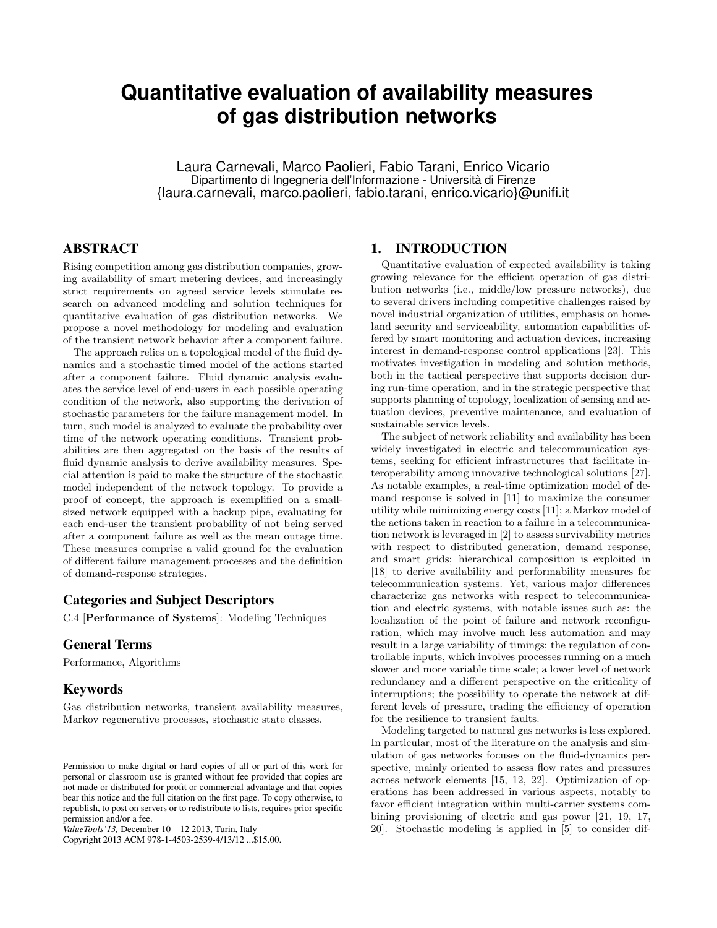# **Quantitative evaluation of availability measures of gas distribution networks**

Laura Carnevali, Marco Paolieri, Fabio Tarani, Enrico Vicario Dipartimento di Ingegneria dell'Informazione - Università di Firenze {laura.carnevali, marco.paolieri, fabio.tarani, enrico.vicario}@unifi.it

## ABSTRACT

Rising competition among gas distribution companies, growing availability of smart metering devices, and increasingly strict requirements on agreed service levels stimulate research on advanced modeling and solution techniques for quantitative evaluation of gas distribution networks. We propose a novel methodology for modeling and evaluation of the transient network behavior after a component failure.

The approach relies on a topological model of the fluid dynamics and a stochastic timed model of the actions started after a component failure. Fluid dynamic analysis evaluates the service level of end-users in each possible operating condition of the network, also supporting the derivation of stochastic parameters for the failure management model. In turn, such model is analyzed to evaluate the probability over time of the network operating conditions. Transient probabilities are then aggregated on the basis of the results of fluid dynamic analysis to derive availability measures. Special attention is paid to make the structure of the stochastic model independent of the network topology. To provide a proof of concept, the approach is exemplified on a smallsized network equipped with a backup pipe, evaluating for each end-user the transient probability of not being served after a component failure as well as the mean outage time. These measures comprise a valid ground for the evaluation of different failure management processes and the definition of demand-response strategies.

#### Categories and Subject Descriptors

C.4 [Performance of Systems]: Modeling Techniques

## General Terms

Performance, Algorithms

## Keywords

Gas distribution networks, transient availability measures, Markov regenerative processes, stochastic state classes.

Copyright 2013 ACM 978-1-4503-2539-4/13/12 ...\$15.00.

# 1. INTRODUCTION

Quantitative evaluation of expected availability is taking growing relevance for the efficient operation of gas distribution networks (i.e., middle/low pressure networks), due to several drivers including competitive challenges raised by novel industrial organization of utilities, emphasis on homeland security and serviceability, automation capabilities offered by smart monitoring and actuation devices, increasing interest in demand-response control applications [23]. This motivates investigation in modeling and solution methods, both in the tactical perspective that supports decision during run-time operation, and in the strategic perspective that supports planning of topology, localization of sensing and actuation devices, preventive maintenance, and evaluation of sustainable service levels.

The subject of network reliability and availability has been widely investigated in electric and telecommunication systems, seeking for efficient infrastructures that facilitate interoperability among innovative technological solutions [27]. As notable examples, a real-time optimization model of demand response is solved in [11] to maximize the consumer utility while minimizing energy costs [11]; a Markov model of the actions taken in reaction to a failure in a telecommunication network is leveraged in [2] to assess survivability metrics with respect to distributed generation, demand response, and smart grids; hierarchical composition is exploited in [18] to derive availability and performability measures for telecommunication systems. Yet, various major differences characterize gas networks with respect to telecommunication and electric systems, with notable issues such as: the localization of the point of failure and network reconfiguration, which may involve much less automation and may result in a large variability of timings; the regulation of controllable inputs, which involves processes running on a much slower and more variable time scale; a lower level of network redundancy and a different perspective on the criticality of interruptions; the possibility to operate the network at different levels of pressure, trading the efficiency of operation for the resilience to transient faults.

Modeling targeted to natural gas networks is less explored. In particular, most of the literature on the analysis and simulation of gas networks focuses on the fluid-dynamics perspective, mainly oriented to assess flow rates and pressures across network elements [15, 12, 22]. Optimization of operations has been addressed in various aspects, notably to favor efficient integration within multi-carrier systems combining provisioning of electric and gas power [21, 19, 17, 20]. Stochastic modeling is applied in [5] to consider dif-

Permission to make digital or hard copies of all or part of this work for personal or classroom use is granted without fee provided that copies are not made or distributed for profit or commercial advantage and that copies bear this notice and the full citation on the first page. To copy otherwise, to republish, to post on servers or to redistribute to lists, requires prior specific permission and/or a fee.

*ValueTools'13,* December 10 – 12 2013, Turin, Italy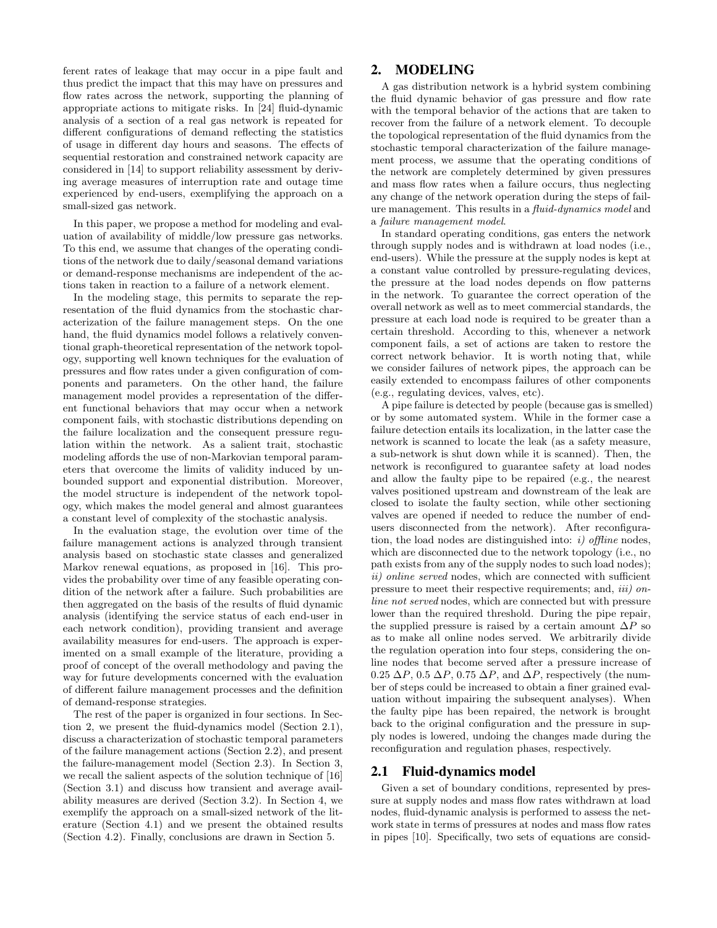ferent rates of leakage that may occur in a pipe fault and thus predict the impact that this may have on pressures and flow rates across the network, supporting the planning of appropriate actions to mitigate risks. In [24] fluid-dynamic analysis of a section of a real gas network is repeated for different configurations of demand reflecting the statistics of usage in different day hours and seasons. The effects of sequential restoration and constrained network capacity are considered in [14] to support reliability assessment by deriving average measures of interruption rate and outage time experienced by end-users, exemplifying the approach on a small-sized gas network.

In this paper, we propose a method for modeling and evaluation of availability of middle/low pressure gas networks. To this end, we assume that changes of the operating conditions of the network due to daily/seasonal demand variations or demand-response mechanisms are independent of the actions taken in reaction to a failure of a network element.

In the modeling stage, this permits to separate the representation of the fluid dynamics from the stochastic characterization of the failure management steps. On the one hand, the fluid dynamics model follows a relatively conventional graph-theoretical representation of the network topology, supporting well known techniques for the evaluation of pressures and flow rates under a given configuration of components and parameters. On the other hand, the failure management model provides a representation of the different functional behaviors that may occur when a network component fails, with stochastic distributions depending on the failure localization and the consequent pressure regulation within the network. As a salient trait, stochastic modeling affords the use of non-Markovian temporal parameters that overcome the limits of validity induced by unbounded support and exponential distribution. Moreover, the model structure is independent of the network topology, which makes the model general and almost guarantees a constant level of complexity of the stochastic analysis.

In the evaluation stage, the evolution over time of the failure management actions is analyzed through transient analysis based on stochastic state classes and generalized Markov renewal equations, as proposed in [16]. This provides the probability over time of any feasible operating condition of the network after a failure. Such probabilities are then aggregated on the basis of the results of fluid dynamic analysis (identifying the service status of each end-user in each network condition), providing transient and average availability measures for end-users. The approach is experimented on a small example of the literature, providing a proof of concept of the overall methodology and paving the way for future developments concerned with the evaluation of different failure management processes and the definition of demand-response strategies.

The rest of the paper is organized in four sections. In Section 2, we present the fluid-dynamics model (Section 2.1), discuss a characterization of stochastic temporal parameters of the failure management actions (Section 2.2), and present the failure-management model (Section 2.3). In Section 3, we recall the salient aspects of the solution technique of [16] (Section 3.1) and discuss how transient and average availability measures are derived (Section 3.2). In Section 4, we exemplify the approach on a small-sized network of the literature (Section 4.1) and we present the obtained results (Section 4.2). Finally, conclusions are drawn in Section 5.

#### 2. MODELING

A gas distribution network is a hybrid system combining the fluid dynamic behavior of gas pressure and flow rate with the temporal behavior of the actions that are taken to recover from the failure of a network element. To decouple the topological representation of the fluid dynamics from the stochastic temporal characterization of the failure management process, we assume that the operating conditions of the network are completely determined by given pressures and mass flow rates when a failure occurs, thus neglecting any change of the network operation during the steps of failure management. This results in a fluid-dynamics model and a failure management model.

In standard operating conditions, gas enters the network through supply nodes and is withdrawn at load nodes (i.e., end-users). While the pressure at the supply nodes is kept at a constant value controlled by pressure-regulating devices, the pressure at the load nodes depends on flow patterns in the network. To guarantee the correct operation of the overall network as well as to meet commercial standards, the pressure at each load node is required to be greater than a certain threshold. According to this, whenever a network component fails, a set of actions are taken to restore the correct network behavior. It is worth noting that, while we consider failures of network pipes, the approach can be easily extended to encompass failures of other components (e.g., regulating devices, valves, etc).

A pipe failure is detected by people (because gas is smelled) or by some automated system. While in the former case a failure detection entails its localization, in the latter case the network is scanned to locate the leak (as a safety measure, a sub-network is shut down while it is scanned). Then, the network is reconfigured to guarantee safety at load nodes and allow the faulty pipe to be repaired (e.g., the nearest valves positioned upstream and downstream of the leak are closed to isolate the faulty section, while other sectioning valves are opened if needed to reduce the number of endusers disconnected from the network). After reconfiguration, the load nodes are distinguished into: i) offline nodes, which are disconnected due to the network topology (i.e., no path exists from any of the supply nodes to such load nodes); ii) online served nodes, which are connected with sufficient pressure to meet their respective requirements; and, iii) online not served nodes, which are connected but with pressure lower than the required threshold. During the pipe repair, the supplied pressure is raised by a certain amount  $\Delta P$  so as to make all online nodes served. We arbitrarily divide the regulation operation into four steps, considering the online nodes that become served after a pressure increase of  $0.25 \Delta P$ ,  $0.5 \Delta P$ ,  $0.75 \Delta P$ , and  $\Delta P$ , respectively (the number of steps could be increased to obtain a finer grained evaluation without impairing the subsequent analyses). When the faulty pipe has been repaired, the network is brought back to the original configuration and the pressure in supply nodes is lowered, undoing the changes made during the reconfiguration and regulation phases, respectively.

#### 2.1 Fluid-dynamics model

Given a set of boundary conditions, represented by pressure at supply nodes and mass flow rates withdrawn at load nodes, fluid-dynamic analysis is performed to assess the network state in terms of pressures at nodes and mass flow rates in pipes [10]. Specifically, two sets of equations are consid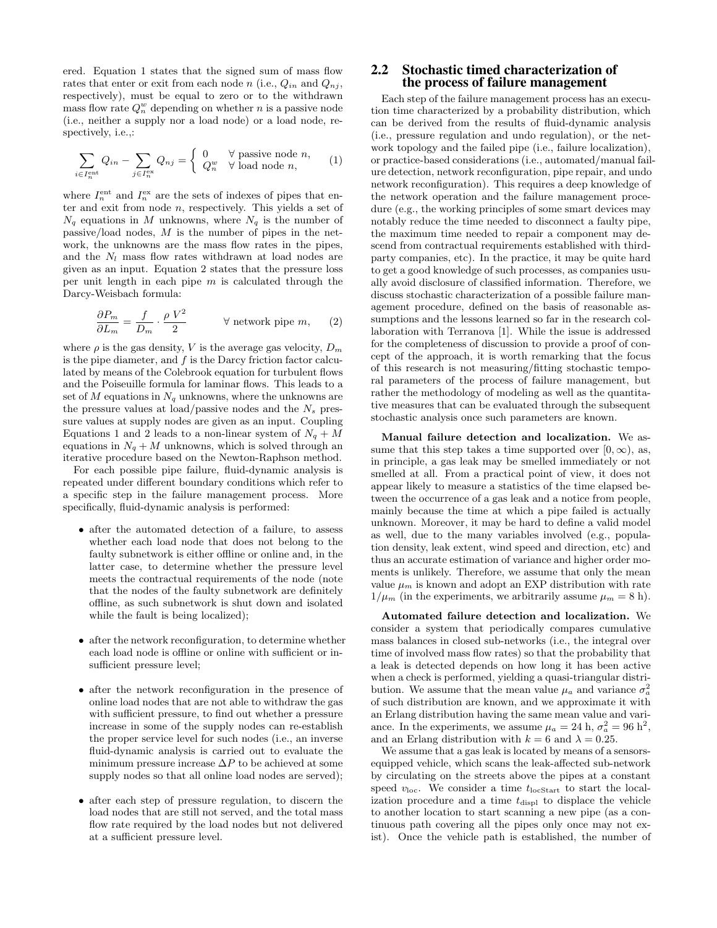ered. Equation 1 states that the signed sum of mass flow rates that enter or exit from each node n (i.e.,  $Q_{in}$  and  $Q_{nj}$ , respectively), must be equal to zero or to the withdrawn mass flow rate  $Q_n^w$  depending on whether n is a passive node (i.e., neither a supply nor a load node) or a load node, respectively, i.e.,:

$$
\sum_{i \in I_n^{\text{ent}}} Q_{in} - \sum_{j \in I_n^{\text{ex}}} Q_{nj} = \begin{cases} 0 & \forall \text{ passive node } n, \\ Q_n^w & \forall \text{ load node } n, \end{cases} (1)
$$

where  $I_n^{\text{ent}}$  and  $I_n^{\text{ex}}$  are the sets of indexes of pipes that enter and exit from node  $n$ , respectively. This yields a set of  $N_q$  equations in M unknowns, where  $N_q$  is the number of passive/load nodes,  $M$  is the number of pipes in the network, the unknowns are the mass flow rates in the pipes, and the  $N_l$  mass flow rates withdrawn at load nodes are given as an input. Equation 2 states that the pressure loss per unit length in each pipe  $m$  is calculated through the Darcy-Weisbach formula:

$$
\frac{\partial P_m}{\partial L_m} = \frac{f}{D_m} \cdot \frac{\rho V^2}{2} \qquad \forall \text{ network pipe } m,
$$
 (2)

where  $\rho$  is the gas density, V is the average gas velocity,  $D_m$ is the pipe diameter, and  $f$  is the Darcy friction factor calculated by means of the Colebrook equation for turbulent flows and the Poiseuille formula for laminar flows. This leads to a set of M equations in  $N_q$  unknowns, where the unknowns are the pressure values at load/passive nodes and the  $N_s$  pressure values at supply nodes are given as an input. Coupling Equations 1 and 2 leads to a non-linear system of  $N_q + M$ equations in  $N_q + M$  unknowns, which is solved through an iterative procedure based on the Newton-Raphson method.

For each possible pipe failure, fluid-dynamic analysis is repeated under different boundary conditions which refer to a specific step in the failure management process. More specifically, fluid-dynamic analysis is performed:

- after the automated detection of a failure, to assess whether each load node that does not belong to the faulty subnetwork is either offline or online and, in the latter case, to determine whether the pressure level meets the contractual requirements of the node (note that the nodes of the faulty subnetwork are definitely offline, as such subnetwork is shut down and isolated while the fault is being localized);
- after the network reconfiguration, to determine whether each load node is offline or online with sufficient or insufficient pressure level;
- after the network reconfiguration in the presence of online load nodes that are not able to withdraw the gas with sufficient pressure, to find out whether a pressure increase in some of the supply nodes can re-establish the proper service level for such nodes (i.e., an inverse fluid-dynamic analysis is carried out to evaluate the minimum pressure increase  $\Delta P$  to be achieved at some supply nodes so that all online load nodes are served);
- after each step of pressure regulation, to discern the load nodes that are still not served, and the total mass flow rate required by the load nodes but not delivered at a sufficient pressure level.

#### 2.2 Stochastic timed characterization of the process of failure management

Each step of the failure management process has an execution time characterized by a probability distribution, which can be derived from the results of fluid-dynamic analysis (i.e., pressure regulation and undo regulation), or the network topology and the failed pipe (i.e., failure localization), or practice-based considerations (i.e., automated/manual failure detection, network reconfiguration, pipe repair, and undo network reconfiguration). This requires a deep knowledge of the network operation and the failure management procedure (e.g., the working principles of some smart devices may notably reduce the time needed to disconnect a faulty pipe, the maximum time needed to repair a component may descend from contractual requirements established with thirdparty companies, etc). In the practice, it may be quite hard to get a good knowledge of such processes, as companies usually avoid disclosure of classified information. Therefore, we discuss stochastic characterization of a possible failure management procedure, defined on the basis of reasonable assumptions and the lessons learned so far in the research collaboration with Terranova [1]. While the issue is addressed for the completeness of discussion to provide a proof of concept of the approach, it is worth remarking that the focus of this research is not measuring/fitting stochastic temporal parameters of the process of failure management, but rather the methodology of modeling as well as the quantitative measures that can be evaluated through the subsequent stochastic analysis once such parameters are known.

Manual failure detection and localization. We assume that this step takes a time supported over  $[0, \infty)$ , as, in principle, a gas leak may be smelled immediately or not smelled at all. From a practical point of view, it does not appear likely to measure a statistics of the time elapsed between the occurrence of a gas leak and a notice from people, mainly because the time at which a pipe failed is actually unknown. Moreover, it may be hard to define a valid model as well, due to the many variables involved (e.g., population density, leak extent, wind speed and direction, etc) and thus an accurate estimation of variance and higher order moments is unlikely. Therefore, we assume that only the mean value  $\mu_m$  is known and adopt an EXP distribution with rate  $1/\mu_m$  (in the experiments, we arbitrarily assume  $\mu_m = 8$  h).

Automated failure detection and localization. We consider a system that periodically compares cumulative mass balances in closed sub-networks (i.e., the integral over time of involved mass flow rates) so that the probability that a leak is detected depends on how long it has been active when a check is performed, yielding a quasi-triangular distribution. We assume that the mean value  $\mu_a$  and variance  $\sigma_a^2$ of such distribution are known, and we approximate it with an Erlang distribution having the same mean value and variance. In the experiments, we assume  $\mu_a = 24$  h,  $\sigma_a^2 = 96$  h<sup>2</sup>, and an Erlang distribution with  $k = 6$  and  $\lambda = 0.25$ .

We assume that a gas leak is located by means of a sensorsequipped vehicle, which scans the leak-affected sub-network by circulating on the streets above the pipes at a constant speed  $v_{\text{loc}}$ . We consider a time  $t_{\text{locStart}}$  to start the localization procedure and a time  $t_{\text{displ}}$  to displace the vehicle to another location to start scanning a new pipe (as a continuous path covering all the pipes only once may not exist). Once the vehicle path is established, the number of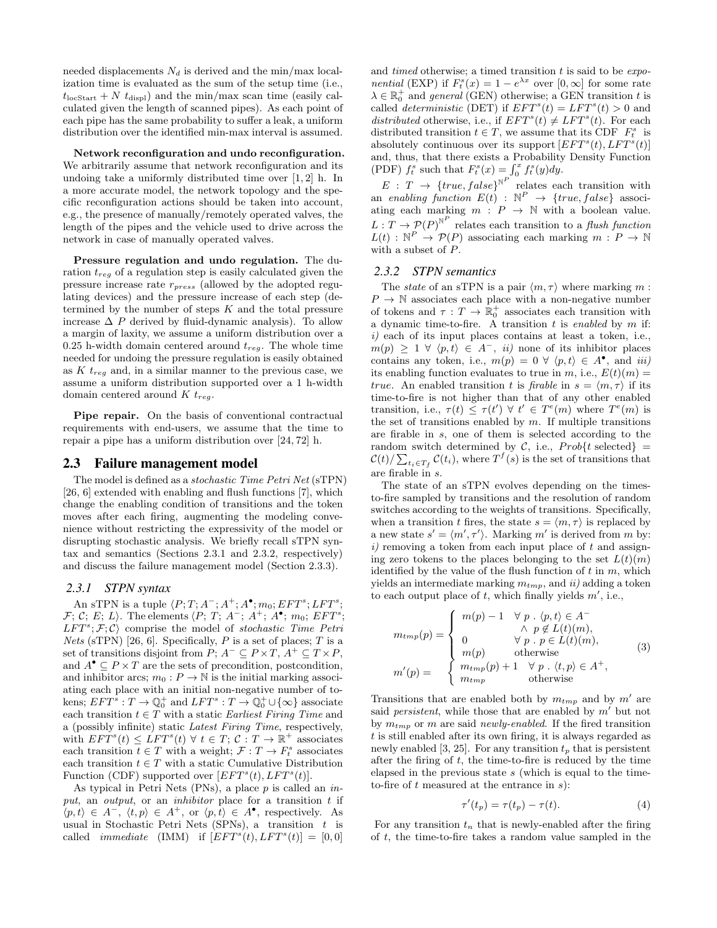needed displacements  $N_d$  is derived and the min/max localization time is evaluated as the sum of the setup time (i.e.,  $t_{\text{locStart}} + N t_{\text{displ}}$ ) and the min/max scan time (easily calculated given the length of scanned pipes). As each point of each pipe has the same probability to suffer a leak, a uniform distribution over the identified min-max interval is assumed.

Network reconfiguration and undo reconfiguration. We arbitrarily assume that network reconfiguration and its undoing take a uniformly distributed time over [1, 2] h. In a more accurate model, the network topology and the specific reconfiguration actions should be taken into account, e.g., the presence of manually/remotely operated valves, the length of the pipes and the vehicle used to drive across the network in case of manually operated valves.

Pressure regulation and undo regulation. The duration  $t_{reg}$  of a regulation step is easily calculated given the pressure increase rate rpress (allowed by the adopted regulating devices) and the pressure increase of each step (determined by the number of steps  $K$  and the total pressure increase  $\Delta P$  derived by fluid-dynamic analysis). To allow a margin of laxity, we assume a uniform distribution over a 0.25 h-width domain centered around  $t_{rea}$ . The whole time needed for undoing the pressure regulation is easily obtained as K  $t_{req}$  and, in a similar manner to the previous case, we assume a uniform distribution supported over a 1 h-width domain centered around  $K t_{req}$ .

Pipe repair. On the basis of conventional contractual requirements with end-users, we assume that the time to repair a pipe has a uniform distribution over [24, 72] h.

#### 2.3 Failure management model

The model is defined as a stochastic Time Petri Net (sTPN) [26, 6] extended with enabling and flush functions [7], which change the enabling condition of transitions and the token moves after each firing, augmenting the modeling convenience without restricting the expressivity of the model or disrupting stochastic analysis. We briefly recall sTPN syntax and semantics (Sections 2.3.1 and 2.3.2, respectively) and discuss the failure management model (Section 2.3.3).

#### *2.3.1 STPN syntax*

An sTPN is a tuple  $\langle P; T; A^-; A^+; A^{\bullet}; m_0; EFT^s; LFT^s;$  $\mathcal{F}; \mathcal{C}; E; L$ . The elements  $\langle P; T; A^{-}; A^{+}; A^{\bullet}; m_0; EFT^s;$  $LFT^{s}; \mathcal{F}; \mathcal{C}$  comprise the model of stochastic Time Petri *Nets* (sTPN) [26, 6]. Specifically, P is a set of places; T is a set of transitions disjoint from  $P$ ;  $A^- \subseteq P \times T$ ,  $A^+ \subseteq T \times P$ , and  $A^{\bullet} \subseteq P \times T$  are the sets of precondition, postcondition, and inhibitor arcs;  $m_0: P \to \mathbb{N}$  is the initial marking associating each place with an initial non-negative number of tokens;  $EFT^s: T \to \mathbb{Q}_0^+$  and  $LFT^s: T \to \mathbb{Q}_0^+ \cup {\infty}$  associate each transition  $t \in T$  with a static Earliest Firing Time and a (possibly infinite) static Latest Firing Time, respectively, with  $EFT<sup>s</sup>(t) \leq LFT<sup>s</sup>(t)$   $\forall$   $t \in T;$   $\mathcal{C}: T \to \mathbb{R}^+$  associates each transition  $t \in T$  with a weight;  $\mathcal{F} : T \to F_t^s$  associates each transition  $t \in T$  with a static Cumulative Distribution Function (CDF) supported over  $[EFT<sup>s</sup>(t), LFT<sup>s</sup>(t)].$ 

As typical in Petri Nets (PNs), a place  $p$  is called an  $in$ put, an *output*, or an *inhibitor* place for a transition  $t$  if  $\langle p, t \rangle \in A^-$ ,  $\langle t, p \rangle \in A^+$ , or  $\langle p, t \rangle \in A^{\bullet}$ , respectively. As usual in Stochastic Petri Nets (SPNs), a transition  $t$  is called *immediate* (IMM) if  $[EFT<sup>s</sup>(t), LFT<sup>s</sup>(t)] = [0,0]$ 

and timed otherwise; a timed transition  $t$  is said to be  $exp$ . *nential* (EXP) if  $F_t^s(x) = 1 - e^{\lambda x}$  over  $[0, \infty]$  for some rate  $\lambda \in \mathbb{R}_0^+$  and general (GEN) otherwise; a GEN transition t is called *deterministic* (DET) if  $EFT<sup>s</sup>(t) = LFT<sup>s</sup>(t) > 0$  and distributed otherwise, i.e., if  $EFT^{s}(t) \neq LFT^{s}(t)$ . For each distributed transition  $t \in T$ , we assume that its CDF  $F_t^s$  is absolutely continuous over its support  $EFT<sup>s</sup>(t), LFT<sup>s</sup>(t)$ and, thus, that there exists a Probability Density Function (PDF)  $f_t^s$  such that  $F_t^s(x) = \int_0^x f_t^s(y) dy$ .

 $E: T \longrightarrow \{true, false\}^{\mathbb{N}^P}$  relates each transition with an enabling function  $E(t)$  :  $\mathbb{N}^P \rightarrow \{true, false\}$  associating each marking  $m : P \rightarrow \mathbb{N}$  with a boolean value.  $L: T \to \mathcal{P}(P)^{\mathbb{N}^P}$  relates each transition to a *flush function*  $L(t): \mathbb{N}^P \to \mathcal{P}(P)$  associating each marking  $m: P \to \mathbb{N}$ with a subset of P.

#### *2.3.2 STPN semantics*

The state of an sTPN is a pair  $\langle m, \tau \rangle$  where marking m :  $P \rightarrow \mathbb{N}$  associates each place with a non-negative number of tokens and  $\tau: T \to \mathbb{R}^+_0$  associates each transition with a dynamic time-to-fire. A transition  $t$  is enabled by  $m$  if: i) each of its input places contains at least a token, i.e.,  $m(p) \geq 1 \ \forall \ \langle p, t \rangle \in A^{-}$ , *ii*) none of its inhibitor places contains any token, i.e.,  $m(p) = 0 \forall (p, t) \in A^{\bullet}$ , and iii) its enabling function evaluates to true in m, i.e.,  $E(t)(m) =$ true. An enabled transition t is firable in  $s = \langle m, \tau \rangle$  if its time-to-fire is not higher than that of any other enabled transition, i.e.,  $\tau(t) \leq \tau(t') \ \forall \ t' \in T^e(m)$  where  $T^e(m)$  is the set of transitions enabled by  $m$ . If multiple transitions are firable in s, one of them is selected according to the random switch determined by C, i.e.,  $Prob{t$  selected} =  $\mathcal{C}(t)/\sum_{t_i \in T_f} \mathcal{C}(t_i)$ , where  $T^f(s)$  is the set of transitions that are firable in s.

The state of an sTPN evolves depending on the timesto-fire sampled by transitions and the resolution of random switches according to the weights of transitions. Specifically, when a transition t fires, the state  $s = \langle m, \tau \rangle$  is replaced by a new state  $s' = \langle m', \tau' \rangle$ . Marking m' is derived from m by:  $i)$  removing a token from each input place of t and assigning zero tokens to the places belonging to the set  $L(t)(m)$ identified by the value of the flush function of  $t$  in  $m$ , which yields an intermediate marking  $m_{tmp}$ , and ii) adding a token to each output place of t, which finally yields  $m'$ , i.e.,

$$
m_{tmp}(p) = \begin{cases} m(p) - 1 & \forall p \cdot \langle p, t \rangle \in A^{-} \\ \land p \notin L(t)(m), \\ 0 & \forall p \cdot p \in L(t)(m), \\ m(p) & \text{otherwise} \\ m_{tmp}(p) + 1 & \forall p \cdot \langle t, p \rangle \in A^{+}, \\ m_{tmp} & \text{otherwise} \end{cases}
$$
(3)

Transitions that are enabled both by  $m_{tmp}$  and by m' are said *persistent*, while those that are enabled by  $m'$  but not by  $m_{tmp}$  or m are said newly-enabled. If the fired transition t is still enabled after its own firing, it is always regarded as newly enabled [3, 25]. For any transition  $t_p$  that is persistent after the firing of  $t$ , the time-to-fire is reduced by the time elapsed in the previous state  $s$  (which is equal to the timeto-fire of  $t$  measured at the entrance in  $s$ ):

$$
\tau'(t_p) = \tau(t_p) - \tau(t). \tag{4}
$$

For any transition  $t_n$  that is newly-enabled after the firing of t, the time-to-fire takes a random value sampled in the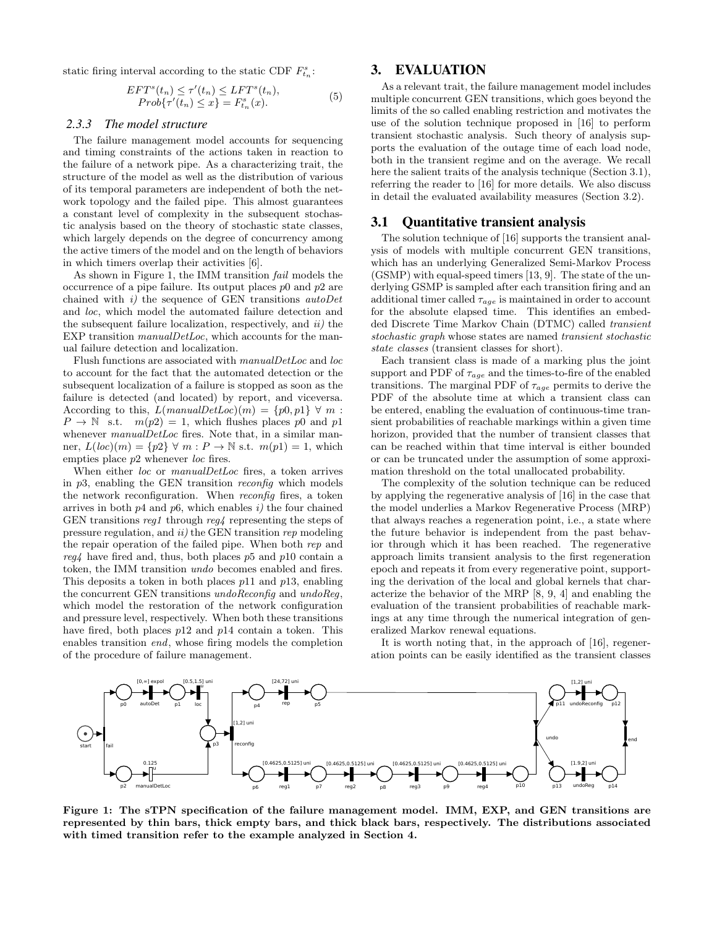static firing interval according to the static CDF  $F_{t_n}^s$ :

$$
EFTs(tn) \leq \tau'(tn) \leq LFTs(tn),
$$
  
Prob{\tau'(t<sub>n</sub>) \leq x} = F<sub>t<sub>n</sub></sub><sup>s</sup>(x). (5)

#### *2.3.3 The model structure*

The failure management model accounts for sequencing and timing constraints of the actions taken in reaction to the failure of a network pipe. As a characterizing trait, the structure of the model as well as the distribution of various of its temporal parameters are independent of both the network topology and the failed pipe. This almost guarantees a constant level of complexity in the subsequent stochastic analysis based on the theory of stochastic state classes, which largely depends on the degree of concurrency among the active timers of the model and on the length of behaviors in which timers overlap their activities [6].

As shown in Figure 1, the IMM transition fail models the occurrence of a pipe failure. Its output places  $p0$  and  $p2$  are chained with  $i$ ) the sequence of GEN transitions  $autoDet$ and loc, which model the automated failure detection and the subsequent failure localization, respectively, and  $ii$ ) the EXP transition *manualDetLoc*, which accounts for the manual failure detection and localization.

Flush functions are associated with manualDetLoc and loc to account for the fact that the automated detection or the subsequent localization of a failure is stopped as soon as the failure is detected (and located) by report, and viceversa. According to this,  $L(manualDetLoc)(m) = \{p0, p1\} \forall m$ :  $P \rightarrow \mathbb{N}$  s.t.  $m(p2) = 1$ , which flushes places p0 and p1 whenever *manualDetLoc* fires. Note that, in a similar manner,  $L(loc)(m) = \{p2\} \forall m : P \rightarrow \mathbb{N}$  s.t.  $m(p1) = 1$ , which empties place  $p2$  whenever loc fires.

When either loc or manualDetLoc fires, a token arrives in  $p3$ , enabling the GEN transition *reconfig* which models the network reconfiguration. When reconfig fires, a token arrives in both  $p4$  and  $p6$ , which enables i) the four chained GEN transitions reg1 through reg4 representing the steps of pressure regulation, and  $ii)$  the GEN transition rep modeling the repair operation of the failed pipe. When both rep and  $reg4$  have fired and, thus, both places p5 and p10 contain a token, the IMM transition undo becomes enabled and fires. This deposits a token in both places  $p11$  and  $p13$ , enabling the concurrent GEN transitions undoReconfig and undoReg, which model the restoration of the network configuration and pressure level, respectively. When both these transitions have fired, both places  $p12$  and  $p14$  contain a token. This enables transition end, whose firing models the completion of the procedure of failure management.

## 3. EVALUATION

As a relevant trait, the failure management model includes multiple concurrent GEN transitions, which goes beyond the limits of the so called enabling restriction and motivates the use of the solution technique proposed in [16] to perform transient stochastic analysis. Such theory of analysis supports the evaluation of the outage time of each load node, both in the transient regime and on the average. We recall here the salient traits of the analysis technique (Section 3.1), referring the reader to [16] for more details. We also discuss in detail the evaluated availability measures (Section 3.2).

#### 3.1 Quantitative transient analysis

The solution technique of [16] supports the transient analysis of models with multiple concurrent GEN transitions, which has an underlying Generalized Semi-Markov Process (GSMP) with equal-speed timers [13, 9]. The state of the underlying GSMP is sampled after each transition firing and an additional timer called  $\tau_{age}$  is maintained in order to account for the absolute elapsed time. This identifies an embedded Discrete Time Markov Chain (DTMC) called transient stochastic graph whose states are named transient stochastic state classes (transient classes for short).

Each transient class is made of a marking plus the joint support and PDF of  $\tau_{age}$  and the times-to-fire of the enabled transitions. The marginal PDF of  $\tau_{age}$  permits to derive the PDF of the absolute time at which a transient class can be entered, enabling the evaluation of continuous-time transient probabilities of reachable markings within a given time horizon, provided that the number of transient classes that can be reached within that time interval is either bounded or can be truncated under the assumption of some approximation threshold on the total unallocated probability.

The complexity of the solution technique can be reduced by applying the regenerative analysis of [16] in the case that the model underlies a Markov Regenerative Process (MRP) that always reaches a regeneration point, i.e., a state where the future behavior is independent from the past behavior through which it has been reached. The regenerative approach limits transient analysis to the first regeneration epoch and repeats it from every regenerative point, supporting the derivation of the local and global kernels that characterize the behavior of the MRP [8, 9, 4] and enabling the evaluation of the transient probabilities of reachable markings at any time through the numerical integration of generalized Markov renewal equations.

It is worth noting that, in the approach of [16], regeneration points can be easily identified as the transient classes



Figure 1: The sTPN specification of the failure management model. IMM, EXP, and GEN transitions are represented by thin bars, thick empty bars, and thick black bars, respectively. The distributions associated with timed transition refer to the example analyzed in Section 4.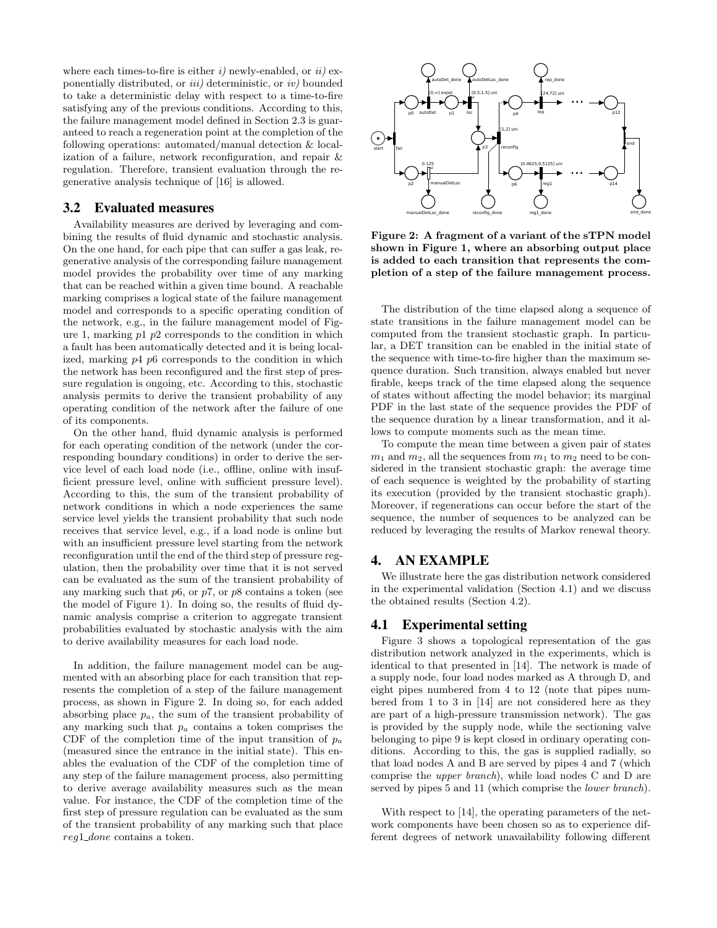where each times-to-fire is either  $i$ ) newly-enabled, or  $ii$ ) exponentially distributed, or  $iii)$  deterministic, or  $iv)$  bounded to take a deterministic delay with respect to a time-to-fire satisfying any of the previous conditions. According to this, the failure management model defined in Section 2.3 is guaranteed to reach a regeneration point at the completion of the following operations: automated/manual detection & localization of a failure, network reconfiguration, and repair & regulation. Therefore, transient evaluation through the regenerative analysis technique of [16] is allowed.

#### 3.2 Evaluated measures

Availability measures are derived by leveraging and combining the results of fluid dynamic and stochastic analysis. On the one hand, for each pipe that can suffer a gas leak, regenerative analysis of the corresponding failure management model provides the probability over time of any marking that can be reached within a given time bound. A reachable marking comprises a logical state of the failure management model and corresponds to a specific operating condition of the network, e.g., in the failure management model of Figure 1, marking  $p1$   $p2$  corresponds to the condition in which a fault has been automatically detected and it is being localized, marking p4 p6 corresponds to the condition in which the network has been reconfigured and the first step of pressure regulation is ongoing, etc. According to this, stochastic analysis permits to derive the transient probability of any operating condition of the network after the failure of one of its components.

On the other hand, fluid dynamic analysis is performed for each operating condition of the network (under the corresponding boundary conditions) in order to derive the service level of each load node (i.e., offline, online with insufficient pressure level, online with sufficient pressure level). According to this, the sum of the transient probability of network conditions in which a node experiences the same service level yields the transient probability that such node receives that service level, e.g., if a load node is online but with an insufficient pressure level starting from the network reconfiguration until the end of the third step of pressure regulation, then the probability over time that it is not served can be evaluated as the sum of the transient probability of any marking such that  $p6$ , or  $p7$ , or  $p8$  contains a token (see the model of Figure 1). In doing so, the results of fluid dynamic analysis comprise a criterion to aggregate transient probabilities evaluated by stochastic analysis with the aim to derive availability measures for each load node.

In addition, the failure management model can be augmented with an absorbing place for each transition that represents the completion of a step of the failure management process, as shown in Figure 2. In doing so, for each added absorbing place  $p_a$ , the sum of the transient probability of any marking such that  $p_a$  contains a token comprises the CDF of the completion time of the input transition of  $p_a$ (measured since the entrance in the initial state). This enables the evaluation of the CDF of the completion time of any step of the failure management process, also permitting to derive average availability measures such as the mean value. For instance, the CDF of the completion time of the first step of pressure regulation can be evaluated as the sum of the transient probability of any marking such that place reg1\_done contains a token.



Figure 2: A fragment of a variant of the sTPN model shown in Figure 1, where an absorbing output place is added to each transition that represents the completion of a step of the failure management process.

The distribution of the time elapsed along a sequence of state transitions in the failure management model can be computed from the transient stochastic graph. In particular, a DET transition can be enabled in the initial state of the sequence with time-to-fire higher than the maximum sequence duration. Such transition, always enabled but never firable, keeps track of the time elapsed along the sequence of states without affecting the model behavior; its marginal PDF in the last state of the sequence provides the PDF of the sequence duration by a linear transformation, and it allows to compute moments such as the mean time.

To compute the mean time between a given pair of states  $m_1$  and  $m_2$ , all the sequences from  $m_1$  to  $m_2$  need to be considered in the transient stochastic graph: the average time of each sequence is weighted by the probability of starting its execution (provided by the transient stochastic graph). Moreover, if regenerations can occur before the start of the sequence, the number of sequences to be analyzed can be reduced by leveraging the results of Markov renewal theory.

# 4. AN EXAMPLE

We illustrate here the gas distribution network considered in the experimental validation (Section 4.1) and we discuss the obtained results (Section 4.2).

## 4.1 Experimental setting

Figure 3 shows a topological representation of the gas distribution network analyzed in the experiments, which is identical to that presented in [14]. The network is made of a supply node, four load nodes marked as A through D, and eight pipes numbered from 4 to 12 (note that pipes numbered from 1 to 3 in [14] are not considered here as they are part of a high-pressure transmission network). The gas is provided by the supply node, while the sectioning valve belonging to pipe 9 is kept closed in ordinary operating conditions. According to this, the gas is supplied radially, so that load nodes A and B are served by pipes 4 and 7 (which comprise the upper branch), while load nodes C and D are served by pipes 5 and 11 (which comprise the *lower branch*).

With respect to [14], the operating parameters of the network components have been chosen so as to experience different degrees of network unavailability following different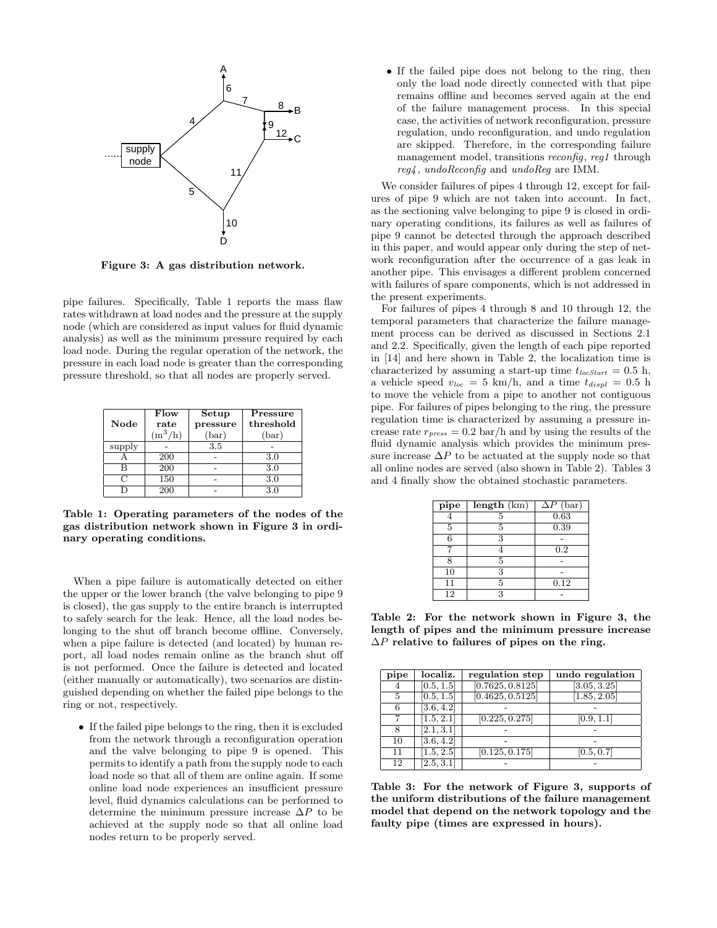

Figure 3: A gas distribution network.

pipe failures. Specifically, Table 1 reports the mass flaw rates withdrawn at load nodes and the pressure at the supply node (which are considered as input values for fluid dynamic analysis) as well as the minimum pressure required by each load node. During the regular operation of the network, the pressure in each load node is greater than the corresponding pressure threshold, so that all nodes are properly served.

| Node   | Flow<br>rate<br>$(m^3/h)$ | Setup<br>pressure<br>(bar) | Pressure<br>threshold<br>(bar) |
|--------|---------------------------|----------------------------|--------------------------------|
| supply |                           | 3.5                        |                                |
|        | 200                       |                            | 3.0                            |
| в      | 200                       |                            | 3.0                            |
| ٢٦     | 150                       |                            | 3.0                            |
|        | $20\overline{0}$          |                            | 3.0                            |

Table 1: Operating parameters of the nodes of the gas distribution network shown in Figure 3 in ordinary operating conditions.

When a pipe failure is automatically detected on either the upper or the lower branch (the valve belonging to pipe 9 is closed), the gas supply to the entire branch is interrupted to safely search for the leak. Hence, all the load nodes belonging to the shut off branch become offline. Conversely, when a pipe failure is detected (and located) by human report, all load nodes remain online as the branch shut off is not performed. Once the failure is detected and located (either manually or automatically), two scenarios are distinguished depending on whether the failed pipe belongs to the ring or not, respectively.

• If the failed pipe belongs to the ring, then it is excluded from the network through a reconfiguration operation and the valve belonging to pipe 9 is opened. This permits to identify a path from the supply node to each load node so that all of them are online again. If some online load node experiences an insufficient pressure level, fluid dynamics calculations can be performed to determine the minimum pressure increase  $\Delta P$  to be achieved at the supply node so that all online load nodes return to be properly served.

• If the failed pipe does not belong to the ring, then only the load node directly connected with that pipe remains offline and becomes served again at the end of the failure management process. In this special case, the activities of network reconfiguration, pressure regulation, undo reconfiguration, and undo regulation are skipped. Therefore, in the corresponding failure management model, transitions *reconfig*, reg1 through reg4 , undoReconfig and undoReg are IMM.

We consider failures of pipes 4 through 12, except for failures of pipe 9 which are not taken into account. In fact, as the sectioning valve belonging to pipe 9 is closed in ordinary operating conditions, its failures as well as failures of pipe 9 cannot be detected through the approach described in this paper, and would appear only during the step of network reconfiguration after the occurrence of a gas leak in another pipe. This envisages a different problem concerned with failures of spare components, which is not addressed in the present experiments.

For failures of pipes 4 through 8 and 10 through 12, the temporal parameters that characterize the failure management process can be derived as discussed in Sections 2.1 and 2.2. Specifically, given the length of each pipe reported in [14] and here shown in Table 2, the localization time is characterized by assuming a start-up time  $t_{locStart} = 0.5$  h, a vehicle speed  $v_{loc} = 5 \text{ km/h}$ , and a time  $t_{displ} = 0.5 \text{ h}$ to move the vehicle from a pipe to another not contiguous pipe. For failures of pipes belonging to the ring, the pressure regulation time is characterized by assuming a pressure increase rate  $r_{press} = 0.2$  bar/h and by using the results of the fluid dynamic analysis which provides the minimum pressure increase  $\Delta P$  to be actuated at the supply node so that all online nodes are served (also shown in Table 2). Tables 3 and 4 finally show the obtained stochastic parameters.

| $\overline{\Delta P}$ (bar) |
|-----------------------------|
|                             |
|                             |
|                             |
|                             |
|                             |
|                             |
|                             |
|                             |
|                             |
|                             |

Table 2: For the network shown in Figure 3, the length of pipes and the minimum pressure increase  $\Delta P$  relative to failures of pipes on the ring.

| pipe | localiz.                | regulation step  | undo regulation |
|------|-------------------------|------------------|-----------------|
|      | [0.5, 1.5]              | [0.7625, 0.8125] | [3.05, 3.25]    |
| 5    | [0.5, 1.5]              | [0.4625, 0.5125] | [1.85, 2.05]    |
| 6    | [3.6, 4.2]              |                  |                 |
|      | $[1.5, 2.\overline{1}]$ | [0.225, 0.275]   | [0.9, 1.1]      |
|      | [2.1, 3.1]              |                  |                 |
| 10   | [3.6, 4.2]              |                  |                 |
| 11   | [1.5, 2.5]              | [0.125, 0.175]   | [0.5, 0.7]      |
| 12   | [2.5, 3.1]              |                  |                 |

Table 3: For the network of Figure 3, supports of the uniform distributions of the failure management model that depend on the network topology and the faulty pipe (times are expressed in hours).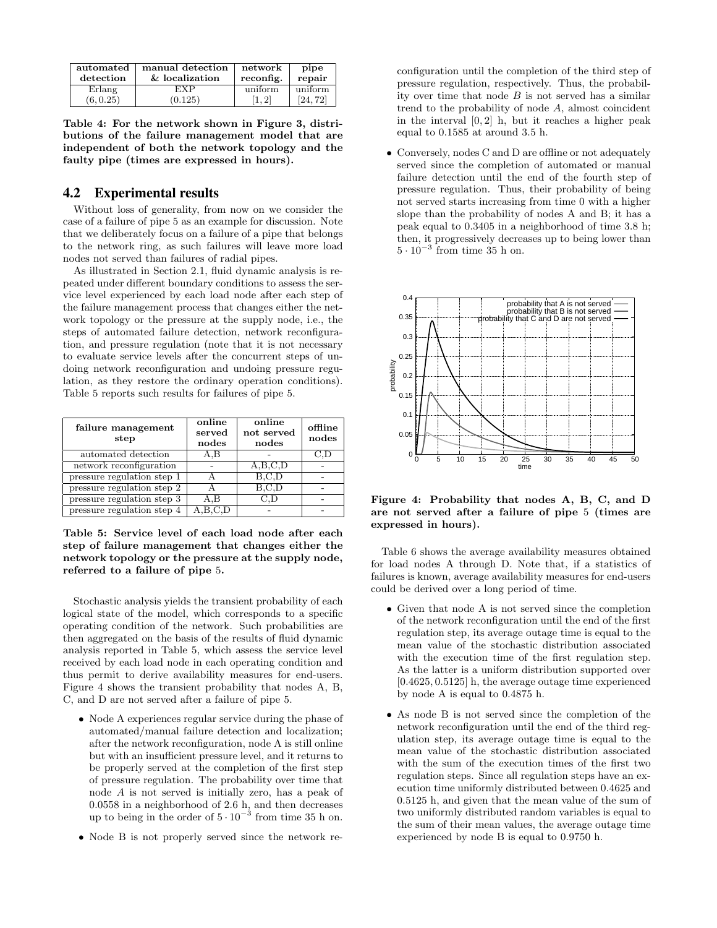| automated<br>detection | manual detection<br>& localization | network<br>reconfig. | pipe<br>repair |
|------------------------|------------------------------------|----------------------|----------------|
| Erlang                 | EXP                                | uniform              | uniform        |
| (6, 0.25)              | (0.125)                            | $1, 2^{\dagger}$     | 124.72         |

Table 4: For the network shown in Figure 3, distributions of the failure management model that are independent of both the network topology and the faulty pipe (times are expressed in hours).

## 4.2 Experimental results

Without loss of generality, from now on we consider the case of a failure of pipe 5 as an example for discussion. Note that we deliberately focus on a failure of a pipe that belongs to the network ring, as such failures will leave more load nodes not served than failures of radial pipes.

As illustrated in Section 2.1, fluid dynamic analysis is repeated under different boundary conditions to assess the service level experienced by each load node after each step of the failure management process that changes either the network topology or the pressure at the supply node, i.e., the steps of automated failure detection, network reconfiguration, and pressure regulation (note that it is not necessary to evaluate service levels after the concurrent steps of undoing network reconfiguration and undoing pressure regulation, as they restore the ordinary operation conditions). Table 5 reports such results for failures of pipe 5.

| failure management<br>step | online<br>served<br>nodes | online<br>not served<br>nodes | offline<br>nodes |
|----------------------------|---------------------------|-------------------------------|------------------|
| automated detection        | A.B                       |                               |                  |
| network reconfiguration    |                           | A,B,C,D                       |                  |
| pressure regulation step 1 |                           | B.C.D                         |                  |
| pressure regulation step 2 |                           | B, C, D                       |                  |
| pressure regulation step 3 | A.B                       | C.D                           |                  |
| pressure regulation step 4 |                           |                               |                  |

Table 5: Service level of each load node after each step of failure management that changes either the network topology or the pressure at the supply node, referred to a failure of pipe 5.

Stochastic analysis yields the transient probability of each logical state of the model, which corresponds to a specific operating condition of the network. Such probabilities are then aggregated on the basis of the results of fluid dynamic analysis reported in Table 5, which assess the service level received by each load node in each operating condition and thus permit to derive availability measures for end-users. Figure 4 shows the transient probability that nodes A, B, C, and D are not served after a failure of pipe 5.

- Node A experiences regular service during the phase of automated/manual failure detection and localization; after the network reconfiguration, node A is still online but with an insufficient pressure level, and it returns to be properly served at the completion of the first step of pressure regulation. The probability over time that node A is not served is initially zero, has a peak of 0.0558 in a neighborhood of 2.6 h, and then decreases up to being in the order of  $5 \cdot 10^{-3}$  from time 35 h on.
- Node B is not properly served since the network re-

configuration until the completion of the third step of pressure regulation, respectively. Thus, the probability over time that node  $B$  is not served has a similar trend to the probability of node A, almost coincident in the interval  $[0, 2]$  h, but it reaches a higher peak equal to 0.1585 at around 3.5 h.

• Conversely, nodes C and D are offline or not adequately served since the completion of automated or manual failure detection until the end of the fourth step of pressure regulation. Thus, their probability of being not served starts increasing from time 0 with a higher slope than the probability of nodes A and B; it has a peak equal to 0.3405 in a neighborhood of time 3.8 h; then, it progressively decreases up to being lower than  $5 \cdot 10^{-3}$  from time 35 h on.



Figure 4: Probability that nodes A, B, C, and D are not served after a failure of pipe 5 (times are expressed in hours).

Table 6 shows the average availability measures obtained for load nodes A through D. Note that, if a statistics of failures is known, average availability measures for end-users could be derived over a long period of time.

- Given that node A is not served since the completion of the network reconfiguration until the end of the first regulation step, its average outage time is equal to the mean value of the stochastic distribution associated with the execution time of the first regulation step. As the latter is a uniform distribution supported over [0.4625, 0.5125] h, the average outage time experienced by node A is equal to 0.4875 h.
- As node B is not served since the completion of the network reconfiguration until the end of the third regulation step, its average outage time is equal to the mean value of the stochastic distribution associated with the sum of the execution times of the first two regulation steps. Since all regulation steps have an execution time uniformly distributed between 0.4625 and 0.5125 h, and given that the mean value of the sum of two uniformly distributed random variables is equal to the sum of their mean values, the average outage time experienced by node B is equal to 0.9750 h.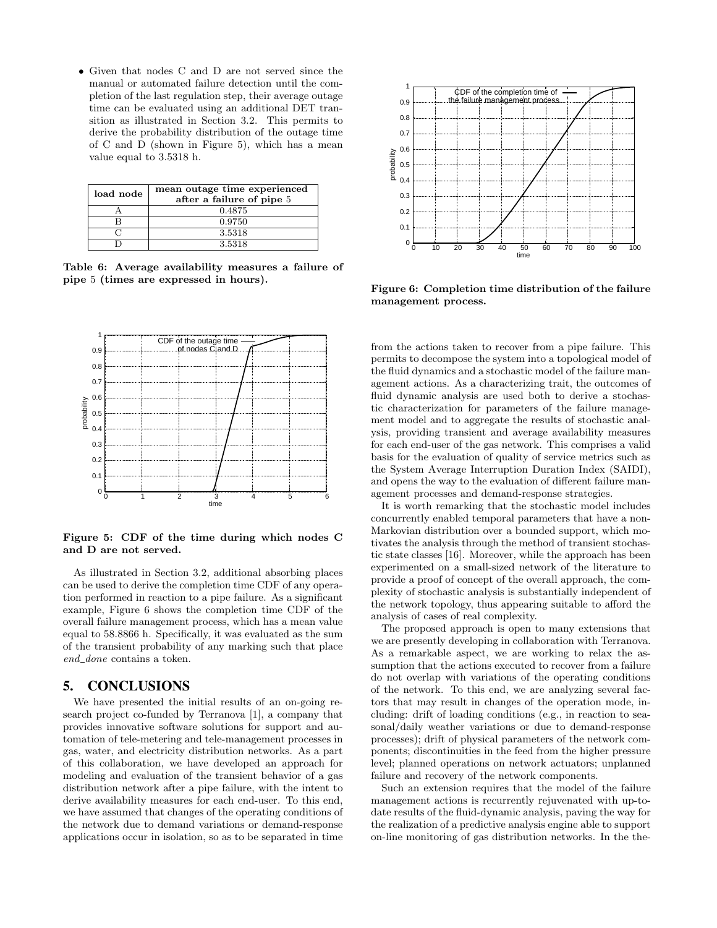• Given that nodes C and D are not served since the manual or automated failure detection until the completion of the last regulation step, their average outage time can be evaluated using an additional DET transition as illustrated in Section 3.2. This permits to derive the probability distribution of the outage time of C and D (shown in Figure 5), which has a mean value equal to 3.5318 h.

| load node | mean outage time experienced<br>after a failure of pipe 5 |
|-----------|-----------------------------------------------------------|
|           | 0.4875                                                    |
|           | 0.9750                                                    |
|           | 3.5318                                                    |
|           | 3.5318                                                    |

Table 6: Average availability measures a failure of pipe 5 (times are expressed in hours).



Figure 5: CDF of the time during which nodes C and D are not served.

As illustrated in Section 3.2, additional absorbing places can be used to derive the completion time CDF of any operation performed in reaction to a pipe failure. As a significant example, Figure 6 shows the completion time CDF of the overall failure management process, which has a mean value equal to 58.8866 h. Specifically, it was evaluated as the sum of the transient probability of any marking such that place end\_done contains a token.

## 5. CONCLUSIONS

We have presented the initial results of an on-going research project co-funded by Terranova [1], a company that provides innovative software solutions for support and automation of tele-metering and tele-management processes in gas, water, and electricity distribution networks. As a part of this collaboration, we have developed an approach for modeling and evaluation of the transient behavior of a gas distribution network after a pipe failure, with the intent to derive availability measures for each end-user. To this end, we have assumed that changes of the operating conditions of the network due to demand variations or demand-response applications occur in isolation, so as to be separated in time



Figure 6: Completion time distribution of the failure management process.

from the actions taken to recover from a pipe failure. This permits to decompose the system into a topological model of the fluid dynamics and a stochastic model of the failure management actions. As a characterizing trait, the outcomes of fluid dynamic analysis are used both to derive a stochastic characterization for parameters of the failure management model and to aggregate the results of stochastic analysis, providing transient and average availability measures for each end-user of the gas network. This comprises a valid basis for the evaluation of quality of service metrics such as the System Average Interruption Duration Index (SAIDI), and opens the way to the evaluation of different failure management processes and demand-response strategies.

It is worth remarking that the stochastic model includes concurrently enabled temporal parameters that have a non-Markovian distribution over a bounded support, which motivates the analysis through the method of transient stochastic state classes [16]. Moreover, while the approach has been experimented on a small-sized network of the literature to provide a proof of concept of the overall approach, the complexity of stochastic analysis is substantially independent of the network topology, thus appearing suitable to afford the analysis of cases of real complexity.

The proposed approach is open to many extensions that we are presently developing in collaboration with Terranova. As a remarkable aspect, we are working to relax the assumption that the actions executed to recover from a failure do not overlap with variations of the operating conditions of the network. To this end, we are analyzing several factors that may result in changes of the operation mode, including: drift of loading conditions (e.g., in reaction to seasonal/daily weather variations or due to demand-response processes); drift of physical parameters of the network components; discontinuities in the feed from the higher pressure level; planned operations on network actuators; unplanned failure and recovery of the network components.

Such an extension requires that the model of the failure management actions is recurrently rejuvenated with up-todate results of the fluid-dynamic analysis, paving the way for the realization of a predictive analysis engine able to support on-line monitoring of gas distribution networks. In the the